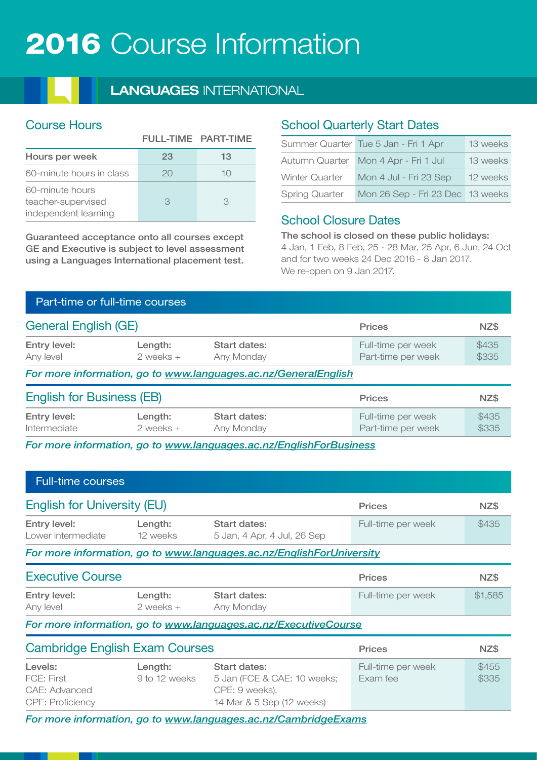# 2016 Course Information

# **LANGUAGES INTERNATIONAL**

## Course Hours

|                                                               |      | <b>FULL-TIME PART-TIME</b> |
|---------------------------------------------------------------|------|----------------------------|
| Hours per week                                                | 23   | 13                         |
| 60-minute hours in class                                      | (2() | 10                         |
| 60-minute hours<br>teacher-supervised<br>independent learning | З    | R                          |

Guaranteed acceptance onto all courses except GE and Executive is subject to level assessment using a Languages International placement test.

# School Quarterly Start Dates

|                       | Summer Quarter Tue 5 Jan - Fri 1 Apr | 13 weeks |
|-----------------------|--------------------------------------|----------|
|                       | Autumn Quarter Mon 4 Apr - Fri 1 Jul | 13 weeks |
| <b>Winter Quarter</b> | Mon 4 Jul - Fri 23 Sep               | 12 weeks |
| <b>Spring Quarter</b> | Mon 26 Sep - Fri 23 Dec 13 weeks     |          |

# School Closure Dates

The school is closed on these public holidays: 4 Jan, 1 Feb, 8 Feb, 25 - 28 Mar, 25 Apr, 6 Jun, 24 Oct and for two weeks 24 Dec 2016 - 8 Jan 2017. We re-open on 9 Jan 2017.

| <b>General English (GE)</b> |               |              | <b>Prices</b>      | NZ\$           |
|-----------------------------|---------------|--------------|--------------------|----------------|
| Entry level:                | Length:       | Start dates: | Full-time per week | \$435<br>\$335 |
| Any level                   | $2$ weeks $+$ | Any Monday   | Part-time per week |                |

*For more information, go to [www.languages.ac.nz/GeneralEnglish](http://www.languages.ac.nz/GeneralEnglish)*

| <b>English for Business (EB)</b> |           | <b>Prices</b> | NZ\$               |       |
|----------------------------------|-----------|---------------|--------------------|-------|
| Entry level:                     | Length:   | Start dates:  | Full-time per week | \$435 |
| Intermediate                     | 2 weeks + | Any Monday    | Part-time per week | \$335 |

*For more information, go to [www.languages.ac.nz/EnglishForBusiness](http://www.languages.ac.nz/EnglishForBusiness)*

| <b>Full-time courses</b>           |                          |                                                                      |                    |         |
|------------------------------------|--------------------------|----------------------------------------------------------------------|--------------------|---------|
| <b>English for University (EU)</b> |                          |                                                                      | <b>Prices</b>      | NZ\$    |
| Entry level:<br>Lower intermediate | Length:<br>12 weeks      | Start dates:<br>5 Jan, 4 Apr, 4 Jul, 26 Sep                          | Full-time per week | \$435   |
|                                    |                          | For more information, go to www.languages.ac.nz/EnglishForUniversity |                    |         |
| <b>Executive Course</b>            |                          |                                                                      | <b>Prices</b>      | NZ\$    |
| Entry level:<br>Any level          | Length:<br>$2$ weeks $+$ | <b>Start dates:</b><br>Any Monday                                    | Full-time per week | \$1,585 |
|                                    |                          | For more information, go to www.languages.ac.nz/ExecutiveCourse      |                    |         |

| <b>Cambridge English Exam Courses</b> |               | <b>Prices</b>               | NZ\$               |       |
|---------------------------------------|---------------|-----------------------------|--------------------|-------|
| Levels:                               | Length:       | Start dates:                | Full-time per week | \$455 |
| <b>FCE: First</b>                     | 9 to 12 weeks | 5 Jan (FCE & CAE: 10 weeks; | Exam fee           | \$335 |
| CAE: Advanced                         |               | CPE: 9 weeks),              |                    |       |
| <b>CPE: Proficiency</b>               |               | 14 Mar & 5 Sep (12 weeks)   |                    |       |

*For more information, go to [www.languages.ac.nz/CambridgeExams](http://www.languages.ac.nz/CambridgeExams)*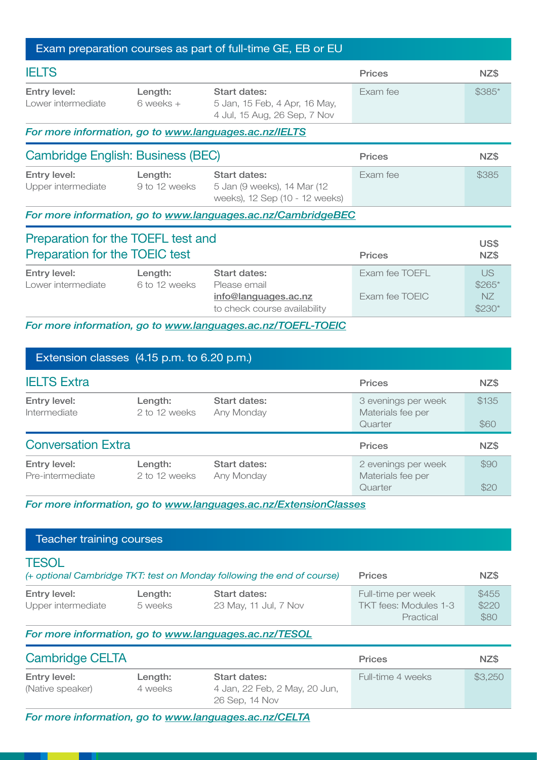|                                                                      |                          | Exam preparation courses as part of full-time GE, EB or EU                                  |                                  |                                       |
|----------------------------------------------------------------------|--------------------------|---------------------------------------------------------------------------------------------|----------------------------------|---------------------------------------|
| <b>IELTS</b>                                                         |                          |                                                                                             | <b>Prices</b>                    | NZ\$                                  |
| Entry level:<br>Lower intermediate                                   | Length:<br>6 weeks +     | Start dates:<br>5 Jan, 15 Feb, 4 Apr, 16 May,<br>4 Jul, 15 Aug, 26 Sep, 7 Nov               | <b>Exam fee</b>                  | \$385*                                |
| For more information, go to www.languages.ac.nz/IELTS                |                          |                                                                                             |                                  |                                       |
| <b>Cambridge English: Business (BEC)</b>                             |                          |                                                                                             | <b>Prices</b>                    | NZ\$                                  |
| Entry level:<br>Upper intermediate                                   | Length:                  | Start dates:<br>9 to 12 weeks 5 Jan (9 weeks), 14 Mar (12<br>weeks), 12 Sep (10 - 12 weeks) | <b>Exam fee</b>                  | \$385                                 |
|                                                                      |                          | For more information, go to www.languages.ac.nz/CambridgeBEC                                |                                  |                                       |
| Preparation for the TOEFL test and<br>Preparation for the TOEIC test |                          |                                                                                             | <b>Prices</b>                    | US\$<br>NZ\$                          |
| Entry level:<br>Lower intermediate                                   | Length:<br>6 to 12 weeks | Start dates:<br>Please email<br>info@languages.ac.nz<br>to check course availability        | Exam fee TOEFL<br>Exam fee TOEIC | <b>US</b><br>$$265*$<br>NZ<br>$$230*$ |

*For more information, go to [www.languages.ac.nz/TOEFL-TOEIC](http://www.languages.ac.nz/TOEFL-TOEIC)*

| Extension classes (4.15 p.m. to 6.20 p.m.) |  |
|--------------------------------------------|--|
|                                            |  |

| <b>IELTS Extra</b>               |                          |                            | <b>Prices</b>                                       | NZ\$          |
|----------------------------------|--------------------------|----------------------------|-----------------------------------------------------|---------------|
| Entry level:<br>Intermediate     | Length:<br>2 to 12 weeks | Start dates:<br>Any Monday | 3 evenings per week<br>Materials fee per<br>Quarter | \$135<br>\$60 |
| <b>Conversation Extra</b>        |                          |                            | <b>Prices</b>                                       | NZ\$          |
| Entry level:<br>Pre-intermediate | Length:<br>2 to 12 weeks | Start dates:<br>Any Monday | 2 evenings per week<br>Materials fee per<br>Quarter | \$90<br>\$20  |

*For more information, go to [www.languages.ac.nz/ExtensionClasses](http://www.languages.ac.nz/ExtensionClasses)*

| <b>Teacher training courses</b>    |                    |                                                                                                |                                                                 |                        |
|------------------------------------|--------------------|------------------------------------------------------------------------------------------------|-----------------------------------------------------------------|------------------------|
| <b>TESOL</b>                       |                    | (+ optional Cambridge TKT: test on Monday following the end of course)                         | <b>Prices</b>                                                   | NZ\$                   |
| Entry level:<br>Upper intermediate | Length:<br>5 weeks | Start dates:<br>23 May, 11 Jul, 7 Nov<br>For more information, go to www.languages.ac.nz/TESOL | Full-time per week<br><b>TKT fees: Modules 1-3</b><br>Practical | \$455<br>\$220<br>\$80 |
| <b>Cambridge CELTA</b>             |                    |                                                                                                | <b>Prices</b>                                                   | NZ\$                   |
| Entry level:<br>(Native speaker)   | Length:<br>4 weeks | Start dates:<br>4 Jan, 22 Feb, 2 May, 20 Jun,                                                  | Full-time 4 weeks                                               | \$3,250                |

26 Sep, 14 Nov

*For more information, go to [www.languages.ac.nz/CELTA](http://www.languages.ac.nz/CELTA)*